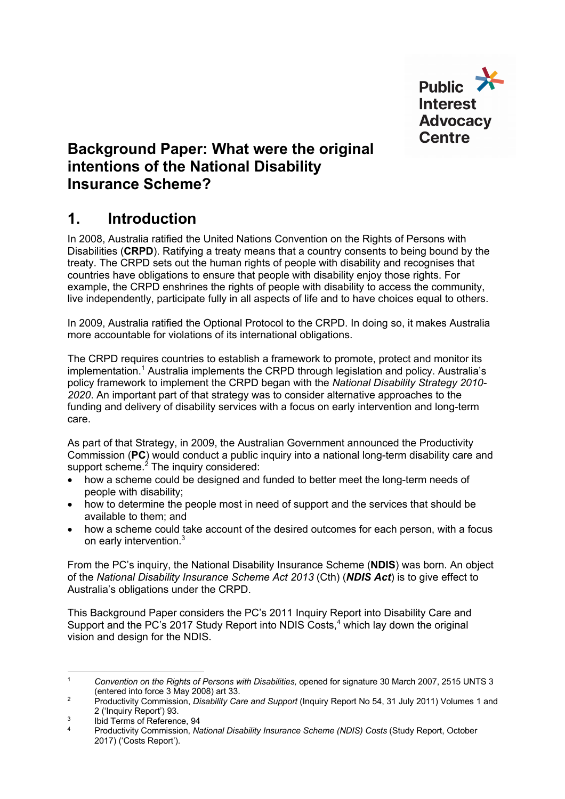

### **Background Paper: What were the original intentions of the National Disability Insurance Scheme?**

### **1. Introduction**

In 2008, Australia ratified the United Nations Convention on the Rights of Persons with Disabilities (**CRPD**). Ratifying a treaty means that a country consents to being bound by the treaty. The CRPD sets out the human rights of people with disability and recognises that countries have obligations to ensure that people with disability enjoy those rights. For example, the CRPD enshrines the rights of people with disability to access the community, live independently, participate fully in all aspects of life and to have choices equal to others.

In 2009, Australia ratified the Optional Protocol to the CRPD. In doing so, it makes Australia more accountable for violations of its international obligations.

The CRPD requires countries to establish a framework to promote, protect and monitor its implementation.<sup>1</sup> Australia implements the CRPD through legislation and policy. Australia's policy framework to implement the CRPD began with the *National Disability Strategy 2010- 2020*. An important part of that strategy was to consider alternative approaches to the funding and delivery of disability services with a focus on early intervention and long-term care.

As part of that Strategy, in 2009, the Australian Government announced the Productivity Commission (**PC**) would conduct a public inquiry into a national long-term disability care and support scheme.<sup>2</sup> The inquiry considered:

- how a scheme could be designed and funded to better meet the long-term needs of people with disability;
- how to determine the people most in need of support and the services that should be available to them; and
- how a scheme could take account of the desired outcomes for each person, with a focus on early intervention.<sup>3</sup>

From the PC's inquiry, the National Disability Insurance Scheme (**NDIS**) was born. An object of the *National Disability Insurance Scheme Act 2013* (Cth) (*NDIS Act*) is to give effect to Australia's obligations under the CRPD.

This Background Paper considers the PC's 2011 Inquiry Report into Disability Care and Support and the PC's 2017 Study Report into NDIS Costs,<sup>4</sup> which lay down the original vision and design for the NDIS.

<sup>&</sup>lt;sup>1</sup> *Convention on the Rights of Persons with Disabilities, opened for signature 30 March 2007, 2515 UNTS 3* (entered into force 3 May 2008) art 33.

<sup>&</sup>lt;sup>2</sup> Productivity Commission, *Disability Care and Support* (Inquiry Report No 54, 31 July 2011) Volumes 1 and 2 ('Inquiry Report') 93.

 $\frac{3}{4}$  Ibid Terms of Reference, 94

<sup>4</sup> Productivity Commission, *National Disability Insurance Scheme (NDIS) Costs* (Study Report, October 2017) ('Costs Report').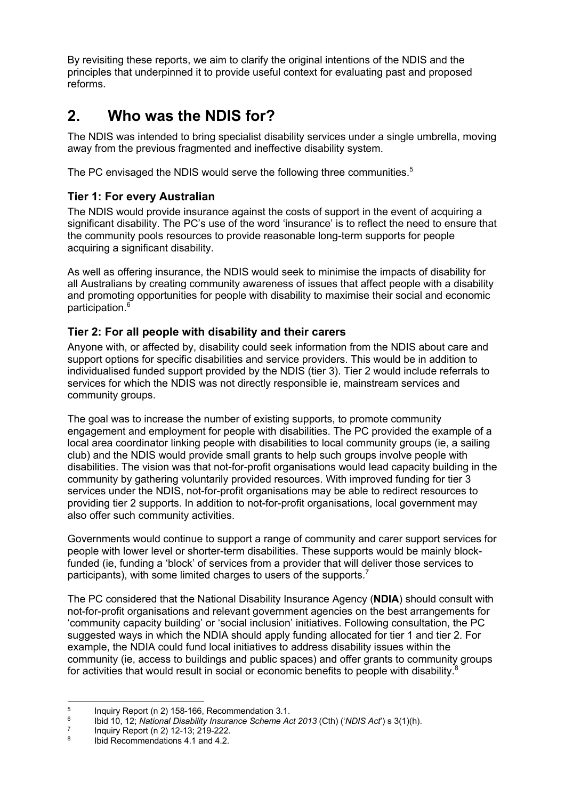By revisiting these reports, we aim to clarify the original intentions of the NDIS and the principles that underpinned it to provide useful context for evaluating past and proposed reforms.

## **2. Who was the NDIS for?**

The NDIS was intended to bring specialist disability services under a single umbrella, moving away from the previous fragmented and ineffective disability system.

The PC envisaged the NDIS would serve the following three communities.<sup>5</sup>

#### **Tier 1: For every Australian**

The NDIS would provide insurance against the costs of support in the event of acquiring a significant disability. The PC's use of the word 'insurance' is to reflect the need to ensure that the community pools resources to provide reasonable long-term supports for people acquiring a significant disability.

As well as offering insurance, the NDIS would seek to minimise the impacts of disability for all Australians by creating community awareness of issues that affect people with a disability and promoting opportunities for people with disability to maximise their social and economic participation.<sup>6</sup>

#### **Tier 2: For all people with disability and their carers**

Anyone with, or affected by, disability could seek information from the NDIS about care and support options for specific disabilities and service providers. This would be in addition to individualised funded support provided by the NDIS (tier 3). Tier 2 would include referrals to services for which the NDIS was not directly responsible ie, mainstream services and community groups.

The goal was to increase the number of existing supports, to promote community engagement and employment for people with disabilities. The PC provided the example of a local area coordinator linking people with disabilities to local community groups (ie, a sailing club) and the NDIS would provide small grants to help such groups involve people with disabilities. The vision was that not-for-profit organisations would lead capacity building in the community by gathering voluntarily provided resources. With improved funding for tier 3 services under the NDIS, not-for-profit organisations may be able to redirect resources to providing tier 2 supports. In addition to not-for-profit organisations, local government may also offer such community activities.

Governments would continue to support a range of community and carer support services for people with lower level or shorter-term disabilities. These supports would be mainly blockfunded (ie, funding a 'block' of services from a provider that will deliver those services to participants), with some limited charges to users of the supports.<sup>7</sup>

The PC considered that the National Disability Insurance Agency (**NDIA**) should consult with not-for-profit organisations and relevant government agencies on the best arrangements for 'community capacity building' or 'social inclusion' initiatives. Following consultation, the PC suggested ways in which the NDIA should apply funding allocated for tier 1 and tier 2. For example, the NDIA could fund local initiatives to address disability issues within the community (ie, access to buildings and public spaces) and offer grants to community groups for activities that would result in social or economic benefits to people with disability.<sup>8</sup>

<sup>&</sup>lt;sup>5</sup> Inquiry Report (n 2) 158-166, Recommendation 3.1.<br><sup>6</sup> Ibid 10, 12: National Disability Insurance Schame Ad

<sup>6</sup> Ibid 10, 12; *National Disability Insurance Scheme Act 2013* (Cth) ('*NDIS Act*') s 3(1)(h). 7 Inquiry Report (n 2) 12-13; 219-222.

Ibid Recommendations 4.1 and 4.2.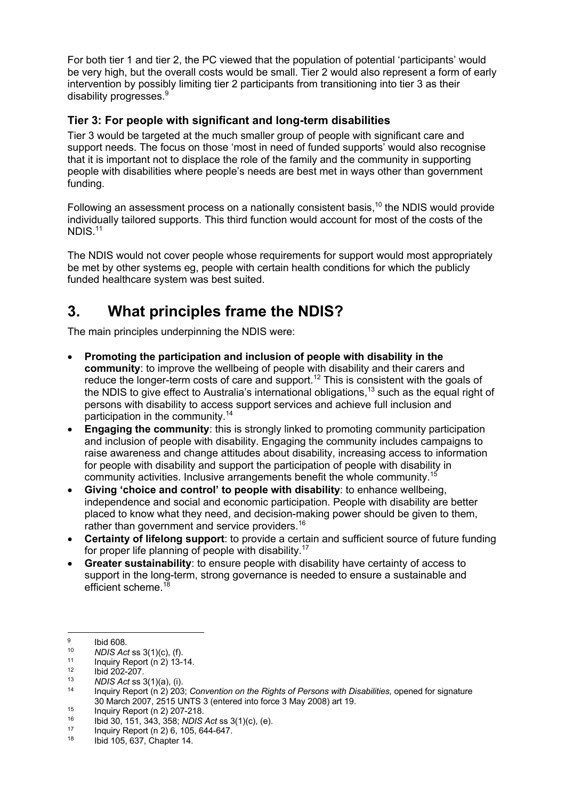For both tier 1 and tier 2, the PC viewed that the population of potential 'participants' would be very high, but the overall costs would be small. Tier 2 would also represent a form of early intervention by possibly limiting tier 2 participants from transitioning into tier 3 as their disability progresses.<sup>9</sup>

#### **Tier 3: For people with significant and long-term disabilities**

Tier 3 would be targeted at the much smaller group of people with significant care and support needs. The focus on those 'most in need of funded supports' would also recognise that it is important not to displace the role of the family and the community in supporting people with disabilities where people's needs are best met in ways other than government funding.

Following an assessment process on a nationally consistent basis, $10$  the NDIS would provide individually tailored supports. This third function would account for most of the costs of the NDIS.11

The NDIS would not cover people whose requirements for support would most appropriately be met by other systems eg, people with certain health conditions for which the publicly funded healthcare system was best suited.

## **3. What principles frame the NDIS?**

The main principles underpinning the NDIS were:

- **Promoting the participation and inclusion of people with disability in the community**: to improve the wellbeing of people with disability and their carers and reduce the longer-term costs of care and support.<sup>12</sup> This is consistent with the goals of the NDIS to give effect to Australia's international obligations,<sup>13</sup> such as the equal right of persons with disability to access support services and achieve full inclusion and participation in the community.14
- **Engaging the community:** this is strongly linked to promoting community participation and inclusion of people with disability. Engaging the community includes campaigns to raise awareness and change attitudes about disability, increasing access to information for people with disability and support the participation of people with disability in community activities. Inclusive arrangements benefit the whole community.<sup>15</sup>
- **Giving 'choice and control' to people with disability**: to enhance wellbeing, independence and social and economic participation. People with disability are better placed to know what they need, and decision-making power should be given to them, rather than government and service providers.<sup>16</sup>
- **Certainty of lifelong support**: to provide a certain and sufficient source of future funding for proper life planning of people with disability.<sup>17</sup>
- **Greater sustainability**: to ensure people with disability have certainty of access to support in the long-term, strong governance is needed to ensure a sustainable and efficient scheme.<sup>18</sup>

 $\frac{9}{10}$  Ibid 608.

<sup>10</sup> *NDIS Act* ss 3(1)(c), (f).

 $\frac{11}{12}$  Inquiry Report (n 2) 13-14.

 $^{12}$  Ibid 202-207.

<sup>13</sup> *NDIS Act* ss 3(1)(a), (i).

<sup>14</sup> Inquiry Report (n 2) 203; *Convention on the Rights of Persons with Disabilities,* opened for signature 30 March 2007, 2515 UNTS 3 (entered into force 3 May 2008) art 19.

 $^{15}$  Inquiry Report (n 2) 207-218.<br>  $^{16}$  Ibid 30, 151, 343, 358; NDIS

<sup>16</sup> Ibid 30, 151, 343, 358; *NDIS Act* ss 3(1)(c), (e).<br><sup>17</sup> Inquiry Report (n 2) 6, 105, 644-647.<br><sup>18</sup> Ibid 105, 637, Chapter 14.

<sup>18</sup> Ibid 105, 637, Chapter 14.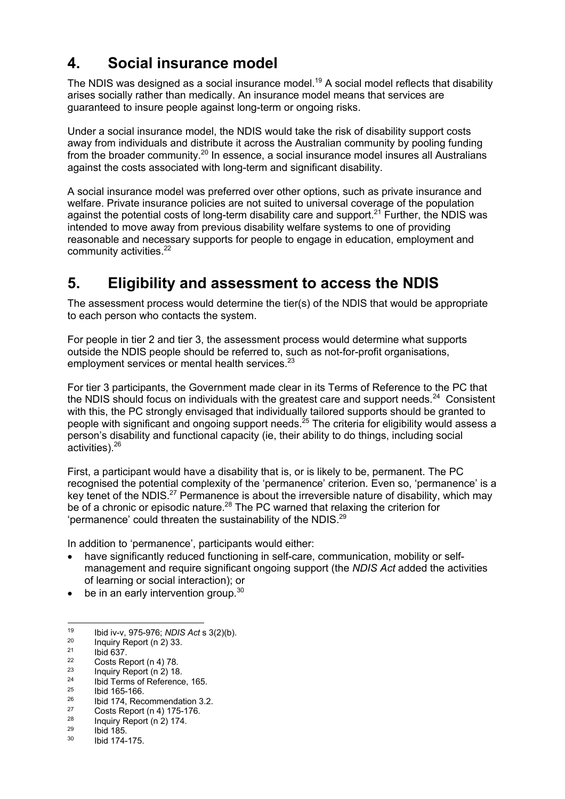## **4. Social insurance model**

The NDIS was designed as a social insurance model.<sup>19</sup> A social model reflects that disability arises socially rather than medically. An insurance model means that services are guaranteed to insure people against long-term or ongoing risks.

Under a social insurance model, the NDIS would take the risk of disability support costs away from individuals and distribute it across the Australian community by pooling funding from the broader community.<sup>20</sup> In essence, a social insurance model insures all Australians against the costs associated with long-term and significant disability.

A social insurance model was preferred over other options, such as private insurance and welfare. Private insurance policies are not suited to universal coverage of the population against the potential costs of long-term disability care and support.<sup>21</sup> Further, the NDIS was intended to move away from previous disability welfare systems to one of providing reasonable and necessary supports for people to engage in education, employment and community activities.<sup>22</sup>

## **5. Eligibility and assessment to access the NDIS**

The assessment process would determine the tier(s) of the NDIS that would be appropriate to each person who contacts the system.

For people in tier 2 and tier 3, the assessment process would determine what supports outside the NDIS people should be referred to, such as not-for-profit organisations, employment services or mental health services.<sup>23</sup>

For tier 3 participants, the Government made clear in its Terms of Reference to the PC that the NDIS should focus on individuals with the greatest care and support needs. $^{24}$  Consistent with this, the PC strongly envisaged that individually tailored supports should be granted to people with significant and ongoing support needs.<sup>25</sup> The criteria for eligibility would assess a person's disability and functional capacity (ie, their ability to do things, including social activities). 26

First, a participant would have a disability that is, or is likely to be, permanent. The PC recognised the potential complexity of the 'permanence' criterion. Even so, 'permanence' is a key tenet of the NDIS.<sup>27</sup> Permanence is about the irreversible nature of disability, which may be of a chronic or episodic nature.<sup>28</sup> The PC warned that relaxing the criterion for 'permanence' could threaten the sustainability of the NDIS. $^{29}$ 

In addition to 'permanence', participants would either:

- have significantly reduced functioning in self-care, communication, mobility or selfmanagement and require significant ongoing support (the *NDIS Act* added the activities of learning or social interaction); or
- be in an early intervention group.<sup>30</sup>

<sup>19</sup> Ibid iv-v, 975-976; *NDIS Act* s 3(2)(b). 20 Inquiry Report (n 2) 33.

 $^{21}$  Ibid 637.

<sup>&</sup>lt;sup>22</sup> Costs Report (n 4) 78.<br><sup>23</sup> Laguin: Penert (n 3) 19

 $\frac{23}{24}$  Inquiry Report (n 2) 18.

<sup>&</sup>lt;sup>24</sup> Ibid Terms of Reference, 165.<br>
<sup>25</sup> Ibid 165-166.<br>
<sup>26</sup> Ibid 174. Pessenmendation 3.

 $^{26}$  Ibid 174, Recommendation 3.2.<br> $^{27}$  Cente Boneti (p.4) 175, 176

<sup>&</sup>lt;sup>27</sup> Costs Report (n 4) 175-176.<br><sup>28</sup> Inquiry Report (n 2) 174

 $\frac{28}{29}$  Inquiry Report (n 2) 174.

 $^{29}$  Ibid 185. Ibid 174-175.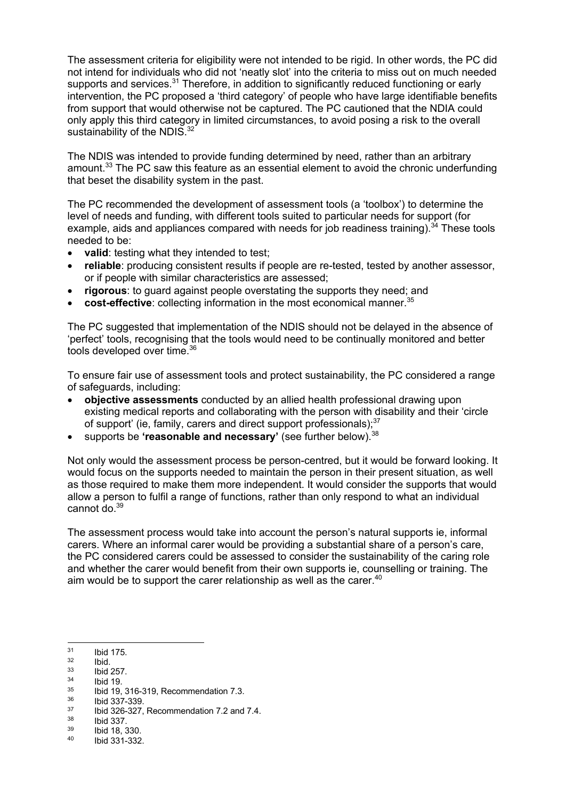The assessment criteria for eligibility were not intended to be rigid. In other words, the PC did not intend for individuals who did not 'neatly slot' into the criteria to miss out on much needed supports and services.<sup>31</sup> Therefore, in addition to significantly reduced functioning or early intervention, the PC proposed a 'third category' of people who have large identifiable benefits from support that would otherwise not be captured. The PC cautioned that the NDIA could only apply this third category in limited circumstances, to avoid posing a risk to the overall sustainability of the NDIS.<sup>32</sup>

The NDIS was intended to provide funding determined by need, rather than an arbitrary amount. $33$  The PC saw this feature as an essential element to avoid the chronic underfunding that beset the disability system in the past.

The PC recommended the development of assessment tools (a 'toolbox') to determine the level of needs and funding, with different tools suited to particular needs for support (for example, aids and appliances compared with needs for job readiness training).<sup>34</sup> These tools needed to be:

- **valid**: testing what they intended to test;
- **reliable**: producing consistent results if people are re-tested, tested by another assessor, or if people with similar characteristics are assessed;
- **rigorous**: to guard against people overstating the supports they need; and
- **cost-effective**: collecting information in the most economical manner.<sup>35</sup>

The PC suggested that implementation of the NDIS should not be delayed in the absence of 'perfect' tools, recognising that the tools would need to be continually monitored and better tools developed over time.<sup>36</sup>

To ensure fair use of assessment tools and protect sustainability, the PC considered a range of safeguards, including:

- **objective assessments** conducted by an allied health professional drawing upon existing medical reports and collaborating with the person with disability and their 'circle of support' (ie, family, carers and direct support professionals);<sup>37</sup>
- supports be **'reasonable and necessary'** (see further below). 38

Not only would the assessment process be person-centred, but it would be forward looking. It would focus on the supports needed to maintain the person in their present situation, as well as those required to make them more independent. It would consider the supports that would allow a person to fulfil a range of functions, rather than only respond to what an individual cannot do.<sup>39</sup>

The assessment process would take into account the person's natural supports ie, informal carers. Where an informal carer would be providing a substantial share of a person's care, the PC considered carers could be assessed to consider the sustainability of the caring role and whether the carer would benefit from their own supports ie, counselling or training. The aim would be to support the carer relationship as well as the carer.  $40$ 

- $\frac{33}{34}$  Ibid 257.
- $\frac{34}{35}$  Ibid 19.
- $35$  Ibid 19, 316-319, Recommendation 7.3.<br> $36$  Ibid 337-339.
- 

- $\frac{38}{39}$  Ibid 337.
- $\frac{39}{40}$  Ibid 18, 330.
- Ibid 331-332.

 $\frac{31}{32}$  Ibid 175.

 $\frac{32}{33}$  Ibid.

 $\frac{37}{38}$  Ibid 326-327, Recommendation 7.2 and 7.4.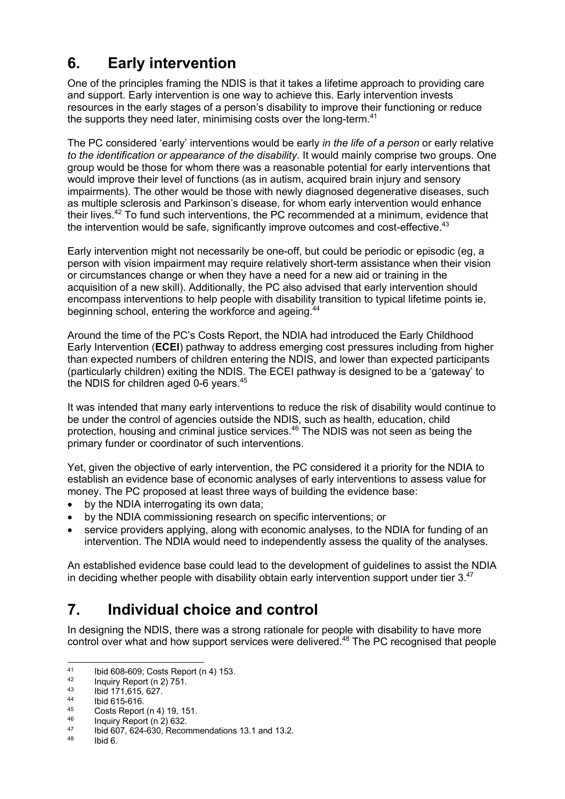# **6. Early intervention**

One of the principles framing the NDIS is that it takes a lifetime approach to providing care and support. Early intervention is one way to achieve this. Early intervention invests resources in the early stages of a person's disability to improve their functioning or reduce the supports they need later, minimising costs over the long-term.<sup>41</sup>

The PC considered 'early' interventions would be early *in the life of a person* or early relative *to the identification or appearance of the disability*. It would mainly comprise two groups. One group would be those for whom there was a reasonable potential for early interventions that would improve their level of functions (as in autism, acquired brain injury and sensory impairments). The other would be those with newly diagnosed degenerative diseases, such as multiple sclerosis and Parkinson's disease, for whom early intervention would enhance their lives.<sup>42</sup> To fund such interventions, the PC recommended at a minimum, evidence that the intervention would be safe, significantly improve outcomes and cost-effective.<sup>43</sup>

Early intervention might not necessarily be one-off, but could be periodic or episodic (eg, a person with vision impairment may require relatively short-term assistance when their vision or circumstances change or when they have a need for a new aid or training in the acquisition of a new skill). Additionally, the PC also advised that early intervention should encompass interventions to help people with disability transition to typical lifetime points ie, beginning school, entering the workforce and ageing.<sup>44</sup>

Around the time of the PC's Costs Report, the NDIA had introduced the Early Childhood Early Intervention (**ECEI**) pathway to address emerging cost pressures including from higher than expected numbers of children entering the NDIS, and lower than expected participants (particularly children) exiting the NDIS. The ECEI pathway is designed to be a 'gateway' to the NDIS for children aged 0-6 vears.<sup>45</sup>

It was intended that many early interventions to reduce the risk of disability would continue to be under the control of agencies outside the NDIS, such as health, education, child protection, housing and criminal justice services. <sup>46</sup> The NDIS was not seen as being the primary funder or coordinator of such interventions.

Yet, given the objective of early intervention, the PC considered it a priority for the NDIA to establish an evidence base of economic analyses of early interventions to assess value for money. The PC proposed at least three ways of building the evidence base:

- by the NDIA interrogating its own data;
- by the NDIA commissioning research on specific interventions; or
- service providers applying, along with economic analyses, to the NDIA for funding of an intervention. The NDIA would need to independently assess the quality of the analyses.

An established evidence base could lead to the development of guidelines to assist the NDIA in deciding whether people with disability obtain early intervention support under tier  $3^{47}$ 

### **7. Individual choice and control**

In designing the NDIS, there was a strong rationale for people with disability to have more control over what and how support services were delivered.<sup>48</sup> The PC recognised that people

<sup>41</sup> Ibid 608-609; Costs Report (n 4) 153.

 $^{42}$  Inquiry Report (n 2) 751.<br> $^{43}$  Ibid 171 615 627

 $^{43}$  Ibid 171,615, 627.

 $\frac{44}{45}$  Ibid 615-616.

<sup>45</sup> Costs Report (n 4) 19, 151.

 $^{46}$  Inquiry Report (n 2) 632.

 $^{47}$  Ibid 607, 624-630, Recommendations 13.1 and 13.2.

Ibid 6.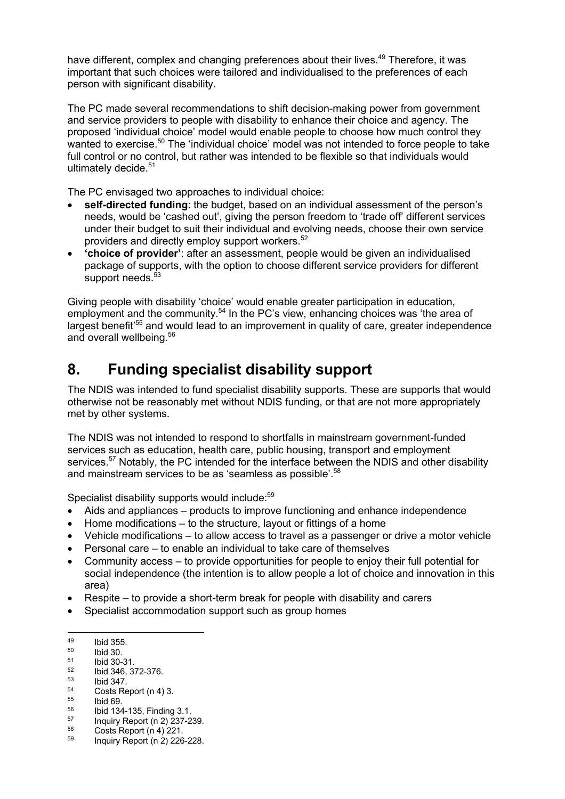have different, complex and changing preferences about their lives.<sup>49</sup> Therefore, it was important that such choices were tailored and individualised to the preferences of each person with significant disability.

The PC made several recommendations to shift decision-making power from government and service providers to people with disability to enhance their choice and agency. The proposed 'individual choice' model would enable people to choose how much control they wanted to exercise.<sup>50</sup> The 'individual choice' model was not intended to force people to take full control or no control, but rather was intended to be flexible so that individuals would ultimately decide.<sup>51</sup>

The PC envisaged two approaches to individual choice:

- **self-directed funding**: the budget, based on an individual assessment of the person's needs, would be 'cashed out', giving the person freedom to 'trade off' different services under their budget to suit their individual and evolving needs, choose their own service providers and directly employ support workers.52
- **'choice of provider'**: after an assessment, people would be given an individualised package of supports, with the option to choose different service providers for different support needs. $53$

Giving people with disability 'choice' would enable greater participation in education, employment and the community.<sup>54</sup> In the PC's view, enhancing choices was 'the area of largest benefit<sup>'55</sup> and would lead to an improvement in quality of care, greater independence and overall wellbeing.<sup>56</sup>

### **8. Funding specialist disability support**

The NDIS was intended to fund specialist disability supports. These are supports that would otherwise not be reasonably met without NDIS funding, or that are not more appropriately met by other systems.

The NDIS was not intended to respond to shortfalls in mainstream government-funded services such as education, health care, public housing, transport and employment services.<sup>57</sup> Notably, the PC intended for the interface between the NDIS and other disability and mainstream services to be as 'seamless as possible'.<sup>58</sup>

Specialist disability supports would include:<sup>59</sup>

- Aids and appliances products to improve functioning and enhance independence
- Home modifications to the structure, layout or fittings of a home
- Vehicle modifications to allow access to travel as a passenger or drive a motor vehicle
- Personal care to enable an individual to take care of themselves
- Community access to provide opportunities for people to enjoy their full potential for social independence (the intention is to allow people a lot of choice and innovation in this area)
- Respite to provide a short-term break for people with disability and carers
- Specialist accommodation support such as group homes

 $^{49}$  Ibid 355.

 $^{50}$  Ibid 30.

 $^{51}$  Ibid 30-31.

 $^{52}$  Ibid 346, 372-376.

 $^{53}$  Ibid 347.

 $54$  Costs Report (n 4) 3.

 $^{55}$  Ibid 69.

 $^{56}$  Ibid 134-135, Finding 3.1.<br> $^{57}$  Inquiry Report (n 2) 237-2

 $^{57}$  Inquiry Report (n 2) 237-239.  $58$  Costs Report (n 4) 221.

<sup>59</sup> Inquiry Report (n 2) 226-228.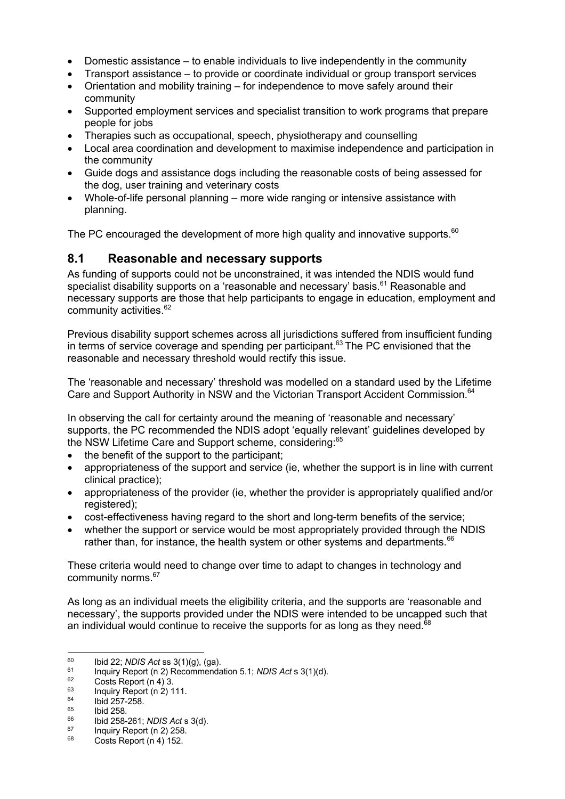- Domestic assistance to enable individuals to live independently in the community
- Transport assistance to provide or coordinate individual or group transport services
- Orientation and mobility training for independence to move safely around their community
- Supported employment services and specialist transition to work programs that prepare people for jobs
- Therapies such as occupational, speech, physiotherapy and counselling
- Local area coordination and development to maximise independence and participation in the community
- Guide dogs and assistance dogs including the reasonable costs of being assessed for the dog, user training and veterinary costs
- Whole-of-life personal planning more wide ranging or intensive assistance with planning.

The PC encouraged the development of more high quality and innovative supports. $60$ 

#### **8.1 Reasonable and necessary supports**

As funding of supports could not be unconstrained, it was intended the NDIS would fund specialist disability supports on a 'reasonable and necessary' basis.<sup>61</sup> Reasonable and necessary supports are those that help participants to engage in education, employment and community activities.<sup>62</sup>

Previous disability support schemes across all jurisdictions suffered from insufficient funding in terms of service coverage and spending per participant.<sup>63</sup> The PC envisioned that the reasonable and necessary threshold would rectify this issue.

The 'reasonable and necessary' threshold was modelled on a standard used by the Lifetime Care and Support Authority in NSW and the Victorian Transport Accident Commission.<sup>64</sup>

In observing the call for certainty around the meaning of 'reasonable and necessary' supports, the PC recommended the NDIS adopt 'equally relevant' guidelines developed by the NSW Lifetime Care and Support scheme, considering:<sup>65</sup>

- the benefit of the support to the participant:
- appropriateness of the support and service (ie, whether the support is in line with current clinical practice);
- appropriateness of the provider (ie, whether the provider is appropriately qualified and/or registered):
- cost-effectiveness having regard to the short and long-term benefits of the service;
- whether the support or service would be most appropriately provided through the NDIS rather than, for instance, the health system or other systems and departments. $66$

These criteria would need to change over time to adapt to changes in technology and community norms.67

As long as an individual meets the eligibility criteria, and the supports are 'reasonable and necessary', the supports provided under the NDIS were intended to be uncapped such that an individual would continue to receive the supports for as long as they need. $68$ 

<sup>60</sup> Ibid 22; *NDIS Act* ss 3(1)(g), (ga). 61 Inquiry Report (n 2) Recommendation 5.1; *NDIS Act* s 3(1)(d).

 $^{62}$  Costs Report (n 4) 3.<br> $^{63}$  Inquiry Report (n 3) 1

 $^{63}$  Inquiry Report (n 2) 111.

 $^{64}$  Ibid 257-258.

 $^{65}$  Ibid 258.

<sup>66</sup> Ibid 258-261; *NDIS Act* s 3(d).

 $^{67}$  Inquiry Report (n 2) 258.

Costs Report (n 4) 152.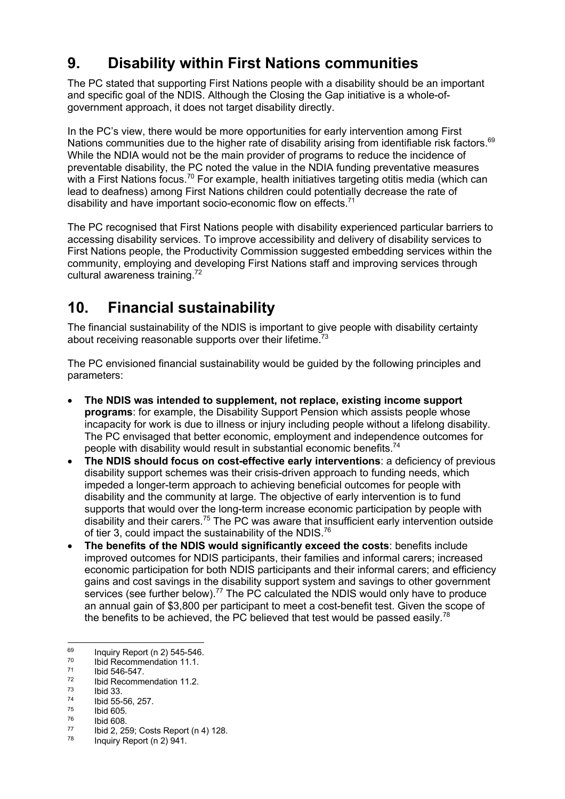## **9. Disability within First Nations communities**

The PC stated that supporting First Nations people with a disability should be an important and specific goal of the NDIS. Although the Closing the Gap initiative is a whole-ofgovernment approach, it does not target disability directly.

In the PC's view, there would be more opportunities for early intervention among First Nations communities due to the higher rate of disability arising from identifiable risk factors.<sup>69</sup> While the NDIA would not be the main provider of programs to reduce the incidence of preventable disability, the PC noted the value in the NDIA funding preventative measures with a First Nations focus.<sup>70</sup> For example, health initiatives targeting otitis media (which can lead to deafness) among First Nations children could potentially decrease the rate of disability and have important socio-economic flow on effects.<sup>71</sup>

The PC recognised that First Nations people with disability experienced particular barriers to accessing disability services. To improve accessibility and delivery of disability services to First Nations people, the Productivity Commission suggested embedding services within the community, employing and developing First Nations staff and improving services through cultural awareness training.<sup>72</sup>

## **10. Financial sustainability**

The financial sustainability of the NDIS is important to give people with disability certainty about receiving reasonable supports over their lifetime. $73$ 

The PC envisioned financial sustainability would be guided by the following principles and parameters:

- **The NDIS was intended to supplement, not replace, existing income support programs**: for example, the Disability Support Pension which assists people whose incapacity for work is due to illness or injury including people without a lifelong disability. The PC envisaged that better economic, employment and independence outcomes for people with disability would result in substantial economic benefits.<sup>74</sup>
- **The NDIS should focus on cost-effective early interventions**: a deficiency of previous disability support schemes was their crisis-driven approach to funding needs, which impeded a longer-term approach to achieving beneficial outcomes for people with disability and the community at large. The objective of early intervention is to fund supports that would over the long-term increase economic participation by people with disability and their carers.<sup>75</sup> The PC was aware that insufficient early intervention outside of tier 3, could impact the sustainability of the NDIS.<sup>76</sup>
- **The benefits of the NDIS would significantly exceed the costs**: benefits include improved outcomes for NDIS participants, their families and informal carers; increased economic participation for both NDIS participants and their informal carers; and efficiency gains and cost savings in the disability support system and savings to other government services (see further below).<sup>77</sup> The PC calculated the NDIS would only have to produce an annual gain of \$3,800 per participant to meet a cost-benefit test. Given the scope of the benefits to be achieved, the PC believed that test would be passed easily.<sup>78</sup>

 $^{69}$  Inquiry Report (n 2) 545-546.<br> $^{70}$  Ibid Recommendation 11.1.

 $^{70}$  Ibid Recommendation 11.1.

 $^{71}$  Ibid 546-547.

 $\frac{72}{73}$  Ibid Recommendation 11.2.

 $\frac{73}{74}$  Ibid 33.<br> $\frac{74}{75}$  Ibid 605

 $^{75}$  Ibid 605.<br> $^{76}$  Ibid 608.

 $^{76}$  Ibid 608.

 $^{77}$  Ibid 2, 259; Costs Report (n 4) 128.

Inquiry Report (n 2) 941.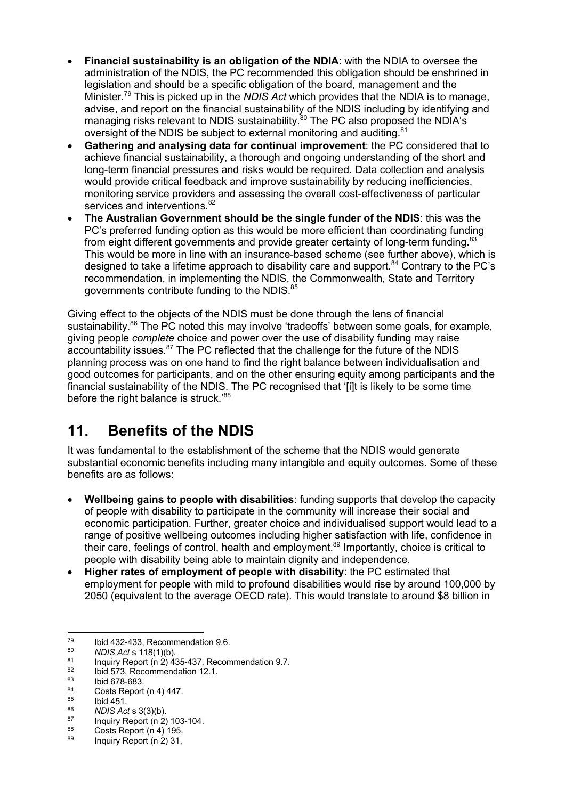- **Financial sustainability is an obligation of the NDIA**: with the NDIA to oversee the administration of the NDIS, the PC recommended this obligation should be enshrined in legislation and should be a specific obligation of the board, management and the Minister.79 This is picked up in the *NDIS Act* which provides that the NDIA is to manage, advise, and report on the financial sustainability of the NDIS including by identifying and managing risks relevant to NDIS sustainability.<sup>80</sup> The PC also proposed the NDIA's oversight of the NDIS be subject to external monitoring and auditing.<sup>81</sup>
- **Gathering and analysing data for continual improvement**: the PC considered that to achieve financial sustainability, a thorough and ongoing understanding of the short and long-term financial pressures and risks would be required. Data collection and analysis would provide critical feedback and improve sustainability by reducing inefficiencies, monitoring service providers and assessing the overall cost-effectiveness of particular services and interventions. 82
- **The Australian Government should be the single funder of the NDIS**: this was the PC's preferred funding option as this would be more efficient than coordinating funding from eight different governments and provide greater certainty of long-term funding. $83$ This would be more in line with an insurance-based scheme (see further above), which is designed to take a lifetime approach to disability care and support.<sup>84</sup> Contrary to the PC's recommendation, in implementing the NDIS, the Commonwealth, State and Territory governments contribute funding to the NDIS.<sup>85</sup>

Giving effect to the objects of the NDIS must be done through the lens of financial sustainability.<sup>86</sup> The PC noted this may involve 'tradeoffs' between some goals, for example, giving people *complete* choice and power over the use of disability funding may raise accountability issues.<sup>87</sup> The PC reflected that the challenge for the future of the NDIS planning process was on one hand to find the right balance between individualisation and good outcomes for participants, and on the other ensuring equity among participants and the financial sustainability of the NDIS. The PC recognised that '[i]t is likely to be some time before the right balance is struck.'88

## **11. Benefits of the NDIS**

It was fundamental to the establishment of the scheme that the NDIS would generate substantial economic benefits including many intangible and equity outcomes. Some of these benefits are as follows:

- **Wellbeing gains to people with disabilities**: funding supports that develop the capacity of people with disability to participate in the community will increase their social and economic participation. Further, greater choice and individualised support would lead to a range of positive wellbeing outcomes including higher satisfaction with life, confidence in their care, feelings of control, health and employment.<sup>89</sup> Importantly, choice is critical to people with disability being able to maintain dignity and independence.
- **Higher rates of employment of people with disability**: the PC estimated that employment for people with mild to profound disabilities would rise by around 100,000 by 2050 (equivalent to the average OECD rate). This would translate to around \$8 billion in

 $^{79}$  Ibid 432-433, Recommendation 9.6.<br> $^{80}$   $^{1015}$  Agt s 418(4)(b)

<sup>80</sup> *NDIS Act* s 118(1)(b).

<sup>&</sup>lt;sup>81</sup> Inquiry Report  $(n \ 2)$  435-437, Recommendation 9.7.

 $^{82}$  Ibid 573, Recommendation 12.1.

 $\begin{array}{r} 83 \ 84 \ \end{array}$  Ibid 678-683.

<sup>84</sup> Costs Report (n 4) 447.<br>
85 Ibid 451.<br>
86 *NDIS Act* s 3(3)(b).

<sup>&</sup>lt;sup>87</sup> Inquiry Report (n 2) 103-104.

 $\frac{88}{189}$  Costs Report (n 4) 195.

Inquiry Report (n 2) 31,